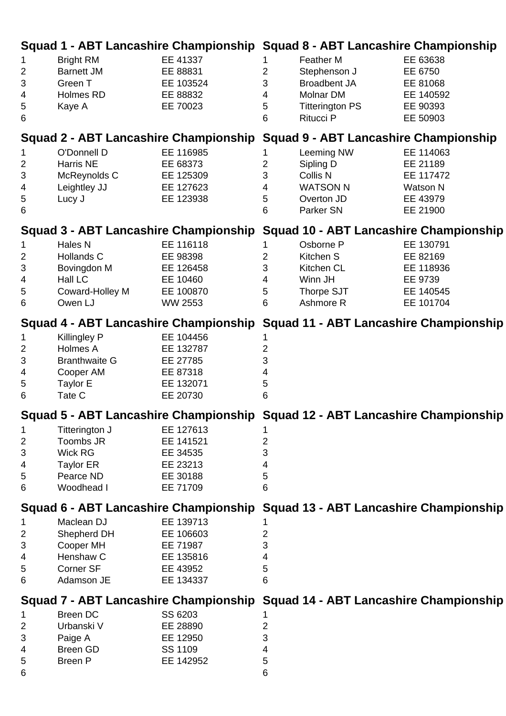| Squad 1 - ABT Lancashire Championship Squad 8 - ABT Lancashire Championship  |                                                                                              |                                                                          |                                                                              |                                                                                                      |                                                                         |
|------------------------------------------------------------------------------|----------------------------------------------------------------------------------------------|--------------------------------------------------------------------------|------------------------------------------------------------------------------|------------------------------------------------------------------------------------------------------|-------------------------------------------------------------------------|
| $\mathbf{1}$<br>$\overline{2}$<br>$\mathfrak{B}$<br>4<br>5<br>6              | <b>Bright RM</b><br><b>Barnett JM</b><br>Green T<br>Holmes RD<br>Kaye A                      | EE 41337<br>EE 88831<br>EE 103524<br>EE 88832<br>EE 70023                | 1.<br>$\overline{2}$<br>3<br>$\overline{\mathcal{A}}$<br>$\sqrt{5}$<br>6     | Feather M<br>Stephenson J<br><b>Broadbent JA</b><br>Molnar DM<br><b>Titterington PS</b><br>Ritucci P | EE 63638<br>EE 6750<br>EE 81068<br>EE 140592<br>EE 90393<br>EE 50903    |
| Squad 2 - ABT Lancashire Championship Squad 9 - ABT Lancashire Championship  |                                                                                              |                                                                          |                                                                              |                                                                                                      |                                                                         |
| $\mathbf{1}$<br>$\overline{2}$<br>$\ensuremath{\mathsf{3}}$<br>4<br>5<br>6   | O'Donnell D<br>Harris NE<br>McReynolds C<br>Leightley JJ<br>Lucy J                           | EE 116985<br>EE 68373<br>EE 125309<br>EE 127623<br>EE 123938             | $\overline{2}$<br>3<br>$\overline{4}$<br>5<br>$6\phantom{1}$                 | Leeming NW<br>Sipling D<br>Collis N<br><b>WATSON N</b><br>Overton JD<br>Parker SN                    | EE 114063<br>EE 21189<br>EE 117472<br>Watson N<br>EE 43979<br>EE 21900  |
|                                                                              |                                                                                              |                                                                          | Squad 3 - ABT Lancashire Championship Squad 10 - ABT Lancashire Championship |                                                                                                      |                                                                         |
| $\mathbf{1}$<br>$\overline{2}$<br>$\ensuremath{\mathsf{3}}$<br>4<br>5<br>6   | Hales N<br>Hollands C<br>Bovingdon M<br>Hall LC<br>Coward-Holley M<br>Owen LJ                | EE 116118<br>EE 98398<br>EE 126458<br>EE 10460<br>EE 100870<br>WW 2553   | $\overline{2}$<br>3<br>4<br>5<br>6                                           | Osborne P<br>Kitchen S<br>Kitchen CL<br>Winn JH<br>Thorpe SJT<br>Ashmore R                           | EE 130791<br>EE 82169<br>EE 118936<br>EE 9739<br>EE 140545<br>EE 101704 |
|                                                                              |                                                                                              |                                                                          | Squad 4 - ABT Lancashire Championship Squad 11 - ABT Lancashire Championship |                                                                                                      |                                                                         |
| 1<br>$\overline{2}$<br>3<br>4<br>5<br>6                                      | Killingley P<br>Holmes A<br><b>Branthwaite G</b><br>Cooper AM<br>Taylor E<br>Tate C          | EE 104456<br>EE 132787<br>EE 27785<br>EE 87318<br>EE 132071<br>EE 20730  | 2<br>3<br>4<br>5<br>6                                                        |                                                                                                      |                                                                         |
| Squad 5 - ABT Lancashire Championship Squad 12 - ABT Lancashire Championship |                                                                                              |                                                                          |                                                                              |                                                                                                      |                                                                         |
| 1<br>$\overline{c}$<br>$\ensuremath{\mathsf{3}}$<br>4<br>5<br>6              | Titterington J<br>Toombs JR<br><b>Wick RG</b><br><b>Taylor ER</b><br>Pearce ND<br>Woodhead I | EE 127613<br>EE 141521<br>EE 34535<br>EE 23213<br>EE 30188<br>EE 71709   | 2<br>3<br>4<br>5<br>6                                                        |                                                                                                      |                                                                         |
| Squad 6 - ABT Lancashire Championship Squad 13 - ABT Lancashire Championship |                                                                                              |                                                                          |                                                                              |                                                                                                      |                                                                         |
| 1<br>2<br>3<br>4<br>5<br>$6\phantom{1}6$                                     | Maclean DJ<br>Shepherd DH<br>Cooper MH<br>Henshaw C<br>Corner SF<br>Adamson JE               | EE 139713<br>EE 106603<br>EE 71987<br>EE 135816<br>EE 43952<br>EE 134337 | 2<br>3<br>4<br>5<br>6                                                        |                                                                                                      |                                                                         |
| Squad 7 - ABT Lancashire Championship Squad 14 - ABT Lancashire Championship |                                                                                              |                                                                          |                                                                              |                                                                                                      |                                                                         |
| 1<br>$\overline{2}$<br>3<br>4<br>5<br>6                                      | <b>Breen DC</b><br>Urbanski V<br>Paige A<br>Breen GD<br>Breen P                              | SS 6203<br>EE 28890<br>EE 12950<br>SS 1109<br>EE 142952                  | 2<br>3<br>4<br>5<br>6                                                        |                                                                                                      |                                                                         |